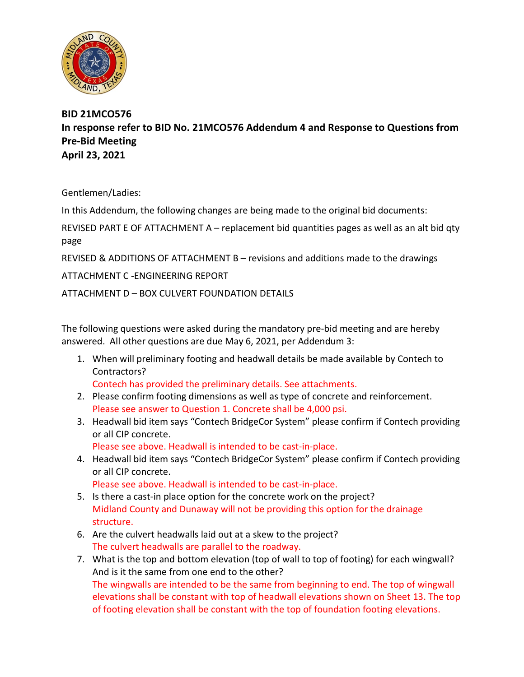

**BID 21MCO576 In response refer to BID No. 21MCO576 Addendum 4 and Response to Questions from Pre-Bid Meeting April 23, 2021**

Gentlemen/Ladies:

In this Addendum, the following changes are being made to the original bid documents:

REVISED PART E OF ATTACHMENT A – replacement bid quantities pages as well as an alt bid qty page

REVISED & ADDITIONS OF ATTACHMENT B – revisions and additions made to the drawings

ATTACHMENT C -ENGINEERING REPORT

ATTACHMENT D – BOX CULVERT FOUNDATION DETAILS

The following questions were asked during the mandatory pre-bid meeting and are hereby answered. All other questions are due May 6, 2021, per Addendum 3:

1. When will preliminary footing and headwall details be made available by Contech to Contractors?

Contech has provided the preliminary details. See attachments.

- 2. Please confirm footing dimensions as well as type of concrete and reinforcement. Please see answer to Question 1. Concrete shall be 4,000 psi.
- 3. Headwall bid item says "Contech BridgeCor System" please confirm if Contech providing or all CIP concrete.

Please see above. Headwall is intended to be cast-in-place.

4. Headwall bid item says "Contech BridgeCor System" please confirm if Contech providing or all CIP concrete.

Please see above. Headwall is intended to be cast-in-place.

- 5. Is there a cast-in place option for the concrete work on the project? Midland County and Dunaway will not be providing this option for the drainage structure.
- 6. Are the culvert headwalls laid out at a skew to the project? The culvert headwalls are parallel to the roadway.
- 7. What is the top and bottom elevation (top of wall to top of footing) for each wingwall? And is it the same from one end to the other? The wingwalls are intended to be the same from beginning to end. The top of wingwall elevations shall be constant with top of headwall elevations shown on Sheet 13. The top of footing elevation shall be constant with the top of foundation footing elevations.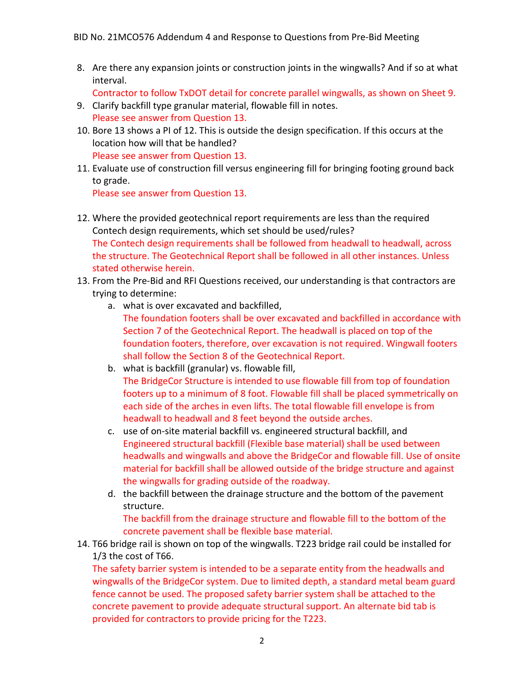8. Are there any expansion joints or construction joints in the wingwalls? And if so at what interval.

Contractor to follow TxDOT detail for concrete parallel wingwalls, as shown on Sheet 9.

- 9. Clarify backfill type granular material, flowable fill in notes. Please see answer from Question 13.
- 10. Bore 13 shows a PI of 12. This is outside the design specification. If this occurs at the location how will that be handled? Please see answer from Question 13.
- 11. Evaluate use of construction fill versus engineering fill for bringing footing ground back to grade.

Please see answer from Question 13.

- 12. Where the provided geotechnical report requirements are less than the required Contech design requirements, which set should be used/rules? The Contech design requirements shall be followed from headwall to headwall, across the structure. The Geotechnical Report shall be followed in all other instances. Unless stated otherwise herein.
- 13. From the Pre-Bid and RFI Questions received, our understanding is that contractors are trying to determine:
	- a. what is over excavated and backfilled,
		- The foundation footers shall be over excavated and backfilled in accordance with Section 7 of the Geotechnical Report. The headwall is placed on top of the foundation footers, therefore, over excavation is not required. Wingwall footers shall follow the Section 8 of the Geotechnical Report.
	- b. what is backfill (granular) vs. flowable fill, The BridgeCor Structure is intended to use flowable fill from top of foundation footers up to a minimum of 8 foot. Flowable fill shall be placed symmetrically on each side of the arches in even lifts. The total flowable fill envelope is from headwall to headwall and 8 feet beyond the outside arches.
	- c. use of on-site material backfill vs. engineered structural backfill, and Engineered structural backfill (Flexible base material) shall be used between headwalls and wingwalls and above the BridgeCor and flowable fill. Use of onsite material for backfill shall be allowed outside of the bridge structure and against the wingwalls for grading outside of the roadway.
	- d. the backfill between the drainage structure and the bottom of the pavement structure.

The backfill from the drainage structure and flowable fill to the bottom of the concrete pavement shall be flexible base material.

14. T66 bridge rail is shown on top of the wingwalls. T223 bridge rail could be installed for 1/3 the cost of T66.

The safety barrier system is intended to be a separate entity from the headwalls and wingwalls of the BridgeCor system. Due to limited depth, a standard metal beam guard fence cannot be used. The proposed safety barrier system shall be attached to the concrete pavement to provide adequate structural support. An alternate bid tab is provided for contractors to provide pricing for the T223.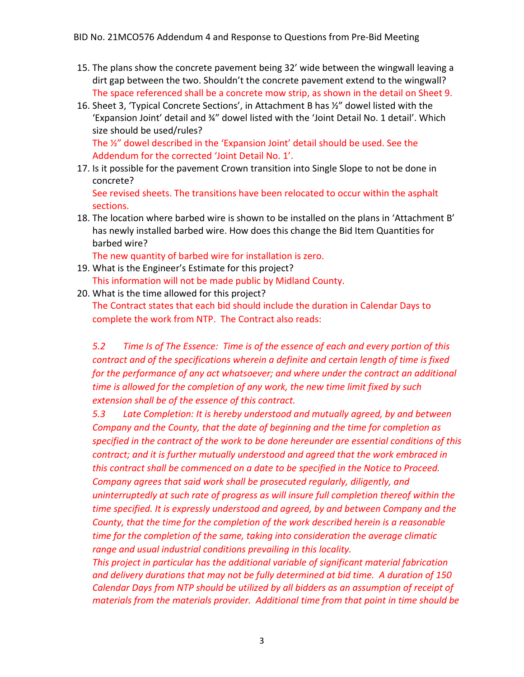- 15. The plans show the concrete pavement being 32' wide between the wingwall leaving a dirt gap between the two. Shouldn't the concrete pavement extend to the wingwall? The space referenced shall be a concrete mow strip, as shown in the detail on Sheet 9.
- 16. Sheet 3, 'Typical Concrete Sections', in Attachment B has ½" dowel listed with the 'Expansion Joint' detail and ¾" dowel listed with the 'Joint Detail No. 1 detail'. Which size should be used/rules? The ½" dowel described in the 'Expansion Joint' detail should be used. See the

Addendum for the corrected 'Joint Detail No. 1'.

17. Is it possible for the pavement Crown transition into Single Slope to not be done in concrete?

See revised sheets. The transitions have been relocated to occur within the asphalt sections.

18. The location where barbed wire is shown to be installed on the plans in 'Attachment B' has newly installed barbed wire. How does this change the Bid Item Quantities for barbed wire?

The new quantity of barbed wire for installation is zero.

- 19. What is the Engineer's Estimate for this project? This information will not be made public by Midland County.
- 20. What is the time allowed for this project? The Contract states that each bid should include the duration in Calendar Days to complete the work from NTP. The Contract also reads:

*5.2 Time Is of The Essence: Time is of the essence of each and every portion of this contract and of the specifications wherein a definite and certain length of time is fixed for the performance of any act whatsoever; and where under the contract an additional time is allowed for the completion of any work, the new time limit fixed by such extension shall be of the essence of this contract.* 

*5.3 Late Completion: It is hereby understood and mutually agreed, by and between Company and the County, that the date of beginning and the time for completion as specified in the contract of the work to be done hereunder are essential conditions of this contract; and it is further mutually understood and agreed that the work embraced in this contract shall be commenced on a date to be specified in the Notice to Proceed. Company agrees that said work shall be prosecuted regularly, diligently, and uninterruptedly at such rate of progress as will insure full completion thereof within the time specified. It is expressly understood and agreed, by and between Company and the County, that the time for the completion of the work described herein is a reasonable time for the completion of the same, taking into consideration the average climatic range and usual industrial conditions prevailing in this locality.*

*This project in particular has the additional variable of significant material fabrication and delivery durations that may not be fully determined at bid time. A duration of 150 Calendar Days from NTP should be utilized by all bidders as an assumption of receipt of materials from the materials provider. Additional time from that point in time should be*